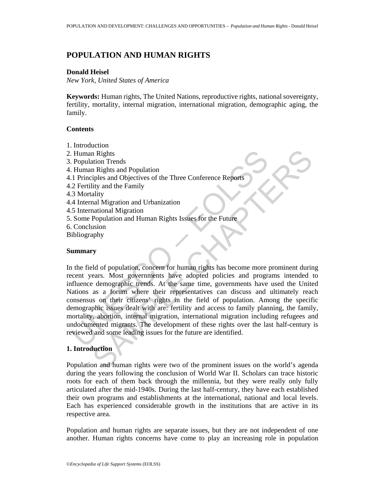# **POPULATION AND HUMAN RIGHTS**

#### **Donald Heisel**

*New York, United States of America* 

**Keywords:** Human rights, The United Nations, reproductive rights, national sovereignty, fertility, mortality, internal migration, international migration, demographic aging, the family.

## **Contents**

Human Rights<br>
Population Trends<br>
Human Rights and Population<br>
1. Principles and Objectives of the Three Conference Reports<br>
2. Fertility and the Family<br>
3. Mortality<br>
3. Mortality<br>
4. Internal Migration and Urbanization<br>
5 1. Introduction 2. Human Rights 3. Population Trends 4. Human Rights and Population 4.1 Principles and Objectives of the Three Conference Reports 4.2 Fertility and the Family 4.3 Mortality 4.4 Internal Migration and Urbanization 4.5 International Migration 5. Some Population and Human Rights Issues for the Future 6. Conclusion Bibliography

#### **Summary**

n Rights<br>
in Rights<br>
and Population<br>
In Rights and Population<br>
in Rights and Population<br>
in Rights and Objectives of the Three Conference Reports<br>
invalid In Migration and Urbanization<br>
and Migration and Human Rights Issue In the field of population, concern for human rights has become more prominent during recent years. Most governments have adopted policies and programs intended to influence demographic trends. At the same time, governments have used the United Nations as a forum where their representatives can discuss and ultimately reach consensus on their citizens' rights in the field of population. Among the specific demographic issues dealt with are: fertility and access to family planning, the family, mortality, abortion, internal migration, international migration including refugees and undocumented migrants. The development of these rights over the last half-century is reviewed and some leading issues for the future are identified.

# **1. Introduction**

Population and human rights were two of the prominent issues on the world's agenda during the years following the conclusion of World War II. Scholars can trace historic roots for each of them back through the millennia, but they were really only fully articulated after the mid-1940s. During the last half-century, they have each established their own programs and establishments at the international, national and local levels. Each has experienced considerable growth in the institutions that are active in its respective area.

Population and human rights are separate issues, but they are not independent of one another. Human rights concerns have come to play an increasing role in population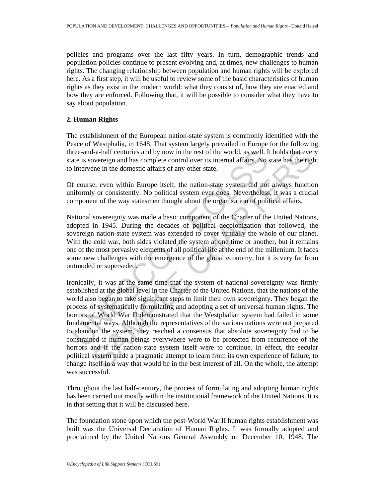policies and programs over the last fifty years. In turn, demographic trends and population policies continue to present evolving and, at times, new challenges to human rights. The changing relationship between population and human rights will be explored here. As a first step, it will be useful to review some of the basic characteristics of human rights as they exist in the modern world: what they consist of, how they are enacted and how they are enforced. Following that, it will be possible to consider what they have to say about population.

### **2. Human Rights**

The establishment of the European nation-state system is commonly identified with the Peace of Westphalia, in 1648. That system largely prevailed in Europe for the following three-and-a-half centuries and by now in the rest of the world, as well. It holds that every state is sovereign and has complete control over its internal affairs. No state has the right to intervene in the domestic affairs of any other state.

Of course, even within Europe itself, the nation-state system did not always function uniformly or consistently. No political system ever does. Nevertheless, it was a crucial component of the way statesmen thought about the organization of political affairs.

National sovereignty was made a basic component of the Charter of the United Nations, adopted in 1945. During the decades of political decolonization that followed, the sovereign nation-state system was extended to cover virtually the whole of our planet. With the cold war, both sides violated the system at one time or another, but it remains one of the most pervasive elements of all political life at the end of the millenium. It faces some new challenges with the emergence of the global economy, but it is very far from outmoded or superseded.

interior and a-half centuries and by now in the rest of the world, as well. I<br>ate is sovereign and has complete control over its internal affairs. No s<br>intervene in the domestic affairs of any other state.<br>If course, even I-a-half centuries and by now in the rest of the world, as well. It holds that ever<br>overeign and has complete control over its internal affairs. No state has the right<br>everteign and has complete control over its internal a Ironically, it was at the same time that the system of national sovereignty was firmly established at the global level in the Charter of the United Nations, that the nations of the world also began to take significant steps to limit their own sovereignty. They began the process of systematically formulating and adopting a set of universal human rights. The horrors of World War II demonstrated that the Westphalian system had failed in some fundamental ways. Although the representatives of the various nations were not prepared to abandon the system, they reached a consensus that absolute sovereignty had to be constrained if human beings everywhere were to be protected from recurrence of the horrors and if the nation-state system itself were to continue. In effect, the secular political system made a pragmatic attempt to learn from its own experience of failure, to change itself in a way that would be in the best interest of all. On the whole, the attempt was successful.

Throughout the last half-century, the process of formulating and adopting human rights has been carried out mostly within the institutional framework of the United Nations. It is in that setting that it will be discussed here.

The foundation stone upon which the post-World War II human rights establishment was built was the Universal Declaration of Human Rights. It was formally adopted and proclaimed by the United Nations General Assembly on December 10, 1948. The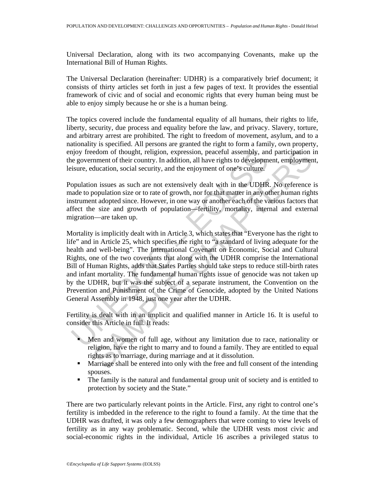Universal Declaration, along with its two accompanying Covenants, make up the International Bill of Human Rights.

The Universal Declaration (hereinafter: UDHR) is a comparatively brief document; it consists of thirty articles set forth in just a few pages of text. It provides the essential framework of civic and of social and economic rights that every human being must be able to enjoy simply because he or she is a human being.

The topics covered include the fundamental equality of all humans, their rights to life, liberty, security, due process and equality before the law, and privacy. Slavery, torture, and arbitrary arrest are prohibited. The right to freedom of movement, asylum, and to a nationality is specified. All persons are granted the right to form a family, own property, enjoy freedom of thought, religion, expression, peaceful assembly, and participation in the government of their country. In addition, all have rights to development, employment, leisure, education, social security, and the enjoyment of one's culture.

Population issues as such are not extensively dealt with in the UDHR. No reference is made to population size or to rate of growth, nor for that matter in any other human rights instrument adopted since. However, in one way or another each of the various factors that affect the size and growth of population—fertility, mortality, internal and external migration—are taken up.

njoy freedom of thought, religion, expression, peaceful assembly, and government of their country. In addition, all have rights to developm<br>isure, education, social security, and the enjoyment of one's culture.<br>
opulation edom of thought, religion, expression, peaceful assembly, and participation inment of their country. In addition, all have rights to development, employment of units and their country. In addition, and have rights to devel Mortality is implicitly dealt with in Article 3, which states that "Everyone has the right to life" and in Article 25, which specifies the right to "a standard of living adequate for the health and well-being". The International Covenant on Economic, Social and Cultural Rights, one of the two covenants that along with the UDHR comprise the International Bill of Human Rights, adds that States Parties should take steps to reduce still-birth rates and infant mortality. The fundamental human rights issue of genocide was not taken up by the UDHR, but it was the subject of a separate instrument, the Convention on the Prevention and Punishment of the Crime of Genocide, adopted by the United Nations General Assembly in 1948, just one year after the UDHR.

Fertility is dealt with in an implicit and qualified manner in Article 16. It is useful to consider this Article in full. It reads:

- Men and women of full age, without any limitation due to race, nationality or religion, have the right to marry and to found a family. They are entitled to equal rights as to marriage, during marriage and at it dissolution.
- Marriage shall be entered into only with the free and full consent of the intending spouses.
- The family is the natural and fundamental group unit of society and is entitled to protection by society and the State."

There are two particularly relevant points in the Article. First, any right to control one's fertility is imbedded in the reference to the right to found a family. At the time that the UDHR was drafted, it was only a few demographers that were coming to view levels of fertility as in any way problematic. Second, while the UDHR vests most civic and social-economic rights in the individual, Article 16 ascribes a privileged status to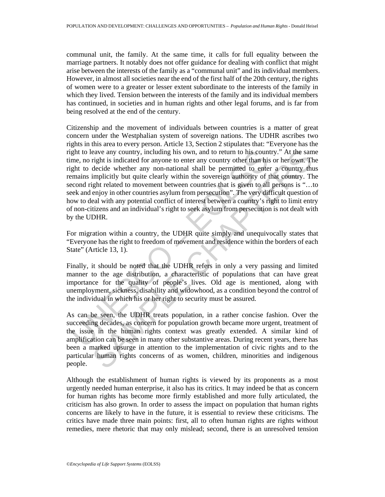communal unit, the family. At the same time, it calls for full equality between the marriage partners. It notably does not offer guidance for dealing with conflict that might arise between the interests of the family as a "communal unit" and its individual members. However, in almost all societies near the end of the first half of the 20th century, the rights of women were to a greater or lesser extent subordinate to the interests of the family in which they lived. Tension between the interests of the family and its individual members has continued, in societies and in human rights and other legal forums, and is far from being resolved at the end of the century.

ght to leave any country, including his own, and to return to his coun<br>me, no right is indicated for any on-national ahall be permitted to ente<br>ght to decide whether any non-national ahall be permitted to ente<br>mains implic aave any country, including his own, and to return to his country." At the sample is indicated for any one to reture any country other than his or her own. The decide whether any non-national shall be permitted to enter a Citizenship and the movement of individuals between countries is a matter of great concern under the Westphalian system of sovereign nations. The UDHR ascribes two rights in this area to every person. Article 13, Section 2 stipulates that: "Everyone has the right to leave any country, including his own, and to return to his country." At the same time, no right is indicated for anyone to enter any country other than his or her own. The right to decide whether any non-national shall be permitted to enter a country thus remains implicitly but quite clearly within the sovereign authority of that country. The second right related to movement between countries that is given to all persons is "…to seek and enjoy in other countries asylum from persecution". The very difficult question of how to deal with any potential conflict of interest between a country's right to limit entry of non-citizens and an individual's right to seek asylum from persecution is not dealt with by the UDHR.

For migration within a country, the UDHR quite simply and unequivocally states that "Everyone has the right to freedom of movement and residence within the borders of each State" (Article 13, 1).

Finally, it should be noted that the UDHR refers in only a very passing and limited manner to the age distribution, a characteristic of populations that can have great importance for the quality of people's lives. Old age is mentioned, along with unemployment, sickness, disability and widowhood, as a condition beyond the control of the individual in which his or her right to security must be assured.

As can be seen, the UDHR treats population, in a rather concise fashion. Over the succeeding decades, as concern for population growth became more urgent, treatment of the issue in the human rights context was greatly extended. A similar kind of amplification can be seen in many other substantive areas. During recent years, there has been a marked upsurge in attention to the implementation of civic rights and to the particular human rights concerns of as women, children, minorities and indigenous people.

Although the establishment of human rights is viewed by its proponents as a most urgently needed human enterprise, it also has its critics. It may indeed be that as concern for human rights has become more firmly established and more fully articulated, the criticism has also grown. In order to assess the impact on population that human rights concerns are likely to have in the future, it is essential to review these criticisms. The critics have made three main points: first, all to often human rights are rights without remedies, mere rhetoric that may only mislead; second, there is an unresolved tension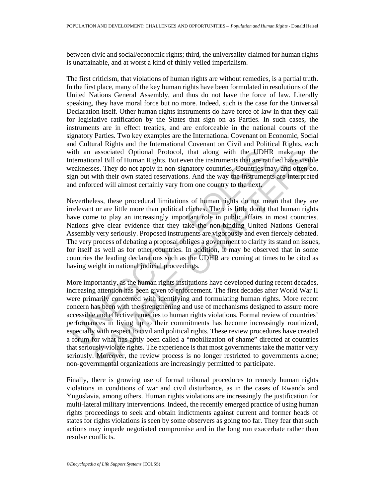between civic and social/economic rights; third, the universality claimed for human rights is unattainable, and at worst a kind of thinly veiled imperialism.

The first criticism, that violations of human rights are without remedies, is a partial truth. In the first place, many of the key human rights have been formulated in resolutions of the United Nations General Assembly, and thus do not have the force of law. Literally speaking, they have moral force but no more. Indeed, such is the case for the Universal Declaration itself. Other human rights instruments do have force of law in that they call for legislative ratification by the States that sign on as Parties. In such cases, the instruments are in effect treaties, and are enforceable in the national courts of the signatory Parties. Two key examples are the International Covenant on Economic, Social and Cultural Rights and the International Covenant on Civil and Political Rights, each with an associated Optional Protocol, that along with the UDHR make up the International Bill of Human Rights. But even the instruments that are ratified have visible weaknesses. They do not apply in non-signatory countries. Countries may, and often do, sign but with their own stated reservations. And the way the instruments are interpreted and enforced will almost certainly vary from one country to the next.

ith an associated Optional Protocol, that along with the UDH<br>termational Bill of Human Rights. But even the instruments that are rat<br>eaknesses. They do not apply in non-signatory countries. Countries that are rat<br>gan but w Nevertheless, these procedural limitations of human rights do not mean that they are irrelevant or are little more than political cliches. There is little doubt that human rights have come to play an increasingly important role in public affairs in most countries. Nations give clear evidence that they take the non-binding United Nations General Assembly very seriously. Proposed instruments are vigorously and even fiercely debated. The very process of debating a proposal obliges a government to clarify its stand on issues, for itself as well as for other countries. In addition, it may be observed that in some countries the leading declarations such as the UDHR are coming at times to be cited as having weight in national judicial proceedings.

associated Optional Protocol, that along with the UDHR make up th<br>mall Bill of Human Relhsis. But even the instruments that are ratified have wisible<br>mess. They do not apply in non-signatory countries, Countries may, and o More importantly, as the human rights institutions have developed during recent decades, increasing attention has been given to enforcement. The first decades after World War II were primarily concerned with identifying and formulating human rights. More recent concern has been with the strengthening and use of mechanisms designed to assure more accessible and effective remedies to human rights violations. Formal review of countries' performances in living up to their commitments has become increasingly routinized, especially with respect to civil and political rights. These review procedures have created a forum for what has aptly been called a "mobilization of shame" directed at countries that seriously violate rights. The experience is that most governments take the matter very seriously. Moreover, the review process is no longer restricted to governments alone; non-governmental organizations are increasingly permitted to participate.

Finally, there is growing use of formal tribunal procedures to remedy human rights violations in conditions of war and civil disturbance, as in the cases of Rwanda and Yugoslavia, among others. Human rights violations are increasingly the justification for multi-lateral military interventions. Indeed, the recently emerged practice of using human rights proceedings to seek and obtain indictments against current and former heads of states for rights violations is seen by some observers as going too far. They fear that such actions may impede negotiated compromise and in the long run exacerbate rather than resolve conflicts.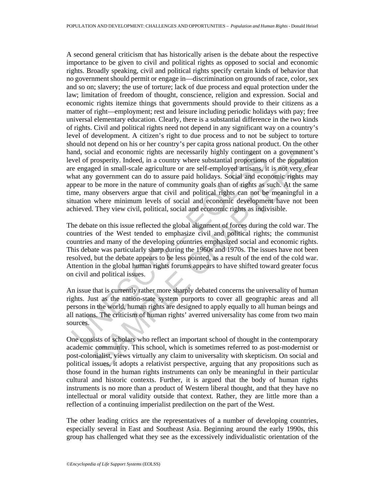and, social and economic rights are necessarily highly contingent or<br>vel of prosperity. Indeed, in a country where substantial proportions<br>re engaged in small-scale agriculture or are self-employed artisans, it<br>that any go cial and economic rights are necessarily highly contingent on a government<br>prospertiy. Indeed, in a country where substantial proportions of the population<br>ged in small-scale agriculture or are self-employed artisans, it i A second general criticism that has historically arisen is the debate about the respective importance to be given to civil and political rights as opposed to social and economic rights. Broadly speaking, civil and political rights specify certain kinds of behavior that no government should permit or engage in—discrimination on grounds of race, color, sex and so on; slavery; the use of torture; lack of due process and equal protection under the law; limitation of freedom of thought, conscience, religion and expression. Social and economic rights itemize things that governments should provide to their citizens as a matter of right—employment; rest and leisure including periodic holidays with pay; free universal elementary education. Clearly, there is a substantial difference in the two kinds of rights. Civil and political rights need not depend in any significant way on a country's level of development. A citizen's right to due process and to not be subject to torture should not depend on his or her country's per capita gross national product. On the other hand, social and economic rights are necessarily highly contingent on a government's level of prosperity. Indeed, in a country where substantial proportions of the population are engaged in small-scale agriculture or are self-employed artisans, it is not very clear what any government can do to assure paid holidays. Social and economic rights may appear to be more in the nature of community goals than of rights as such. At the same time, many observers argue that civil and political rights can not be meaningful in a situation where minimum levels of social and economic development have not been achieved. They view civil, political, social and economic rights as indivisible.

The debate on this issue reflected the global alignment of forces during the cold war. The countries of the West tended to emphasize civil and political rights; the communist countries and many of the developing countries emphasized social and economic rights. This debate was particularly sharp during the 1960s and 1970s. The issues have not been resolved, but the debate appears to be less pointed, as a result of the end of the cold war. Attention in the global human rights forums appears to have shifted toward greater focus on civil and political issues.

An issue that is currently rather more sharply debated concerns the universality of human rights. Just as the nation-state system purports to cover all geographic areas and all persons in the world, human rights are designed to apply equally to all human beings and all nations. The criticism of human rights' averred universality has come from two main sources.

One consists of scholars who reflect an important school of thought in the contemporary academic community. This school, which is sometimes referred to as post-modernist or post-colonialist, views virtually any claim to universality with skepticism. On social and political issues, it adopts a relativist perspective, arguing that any propositions such as those found in the human rights instruments can only be meaningful in their particular cultural and historic contexts. Further, it is argued that the body of human rights instruments is no more than a product of Western liberal thought, and that they have no intellectual or moral validity outside that context. Rather, they are little more than a reflection of a continuing imperialist predilection on the part of the West.

The other leading critics are the representatives of a number of developing countries, especially several in East and Southeast Asia. Beginning around the early 1990s, this group has challenged what they see as the excessively individualistic orientation of the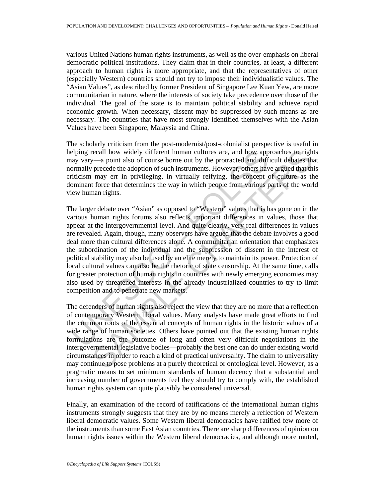various United Nations human rights instruments, as well as the over-emphasis on liberal democratic political institutions. They claim that in their countries, at least, a different approach to human rights is more appropriate, and that the representatives of other (especially Western) countries should not try to impose their individualistic values. The "Asian Values", as described by former President of Singapore Lee Kuan Yew, are more communitarian in nature, where the interests of society take precedence over those of the individual. The goal of the state is to maintain political stability and achieve rapid economic growth. When necessary, dissent may be suppressed by such means as are necessary. The countries that have most strongly identified themselves with the Asian Values have been Singapore, Malaysia and China.

The scholarly criticism from the post-modernist/post-colonialist perspective is useful in helping recall how widely different human cultures are, and how approaches to rights may vary—a point also of course borne out by the protracted and difficult debates that normally precede the adoption of such instruments. However, others have argued that this criticism may err in privileging, in virtually reifying, the concept of culture as the dominant force that determines the way in which people from various parts of the world view human rights.

elping recall how widely different human cultures are, and how app<br>ay vary—a point also of course borne out by the protracted and diff<br>orormally precede the adoption of such instruments. However, others have<br>inficities may ccall how widely different human cultures are, and how approaches to right-<br>  $\sim$  -a point also of cours born out by the protracted and difficult debates that<br>
precede the adoption of such instruments. However, others have The larger debate over "Asian" as opposed to "Western" values that is has gone on in the various human rights forums also reflects important differences in values, those that appear at the intergovernmental level. And quite clearly, very real differences in values are revealed. Again, though, many observers have argued that the debate involves a good deal more than cultural differences alone. A communitarian orientation that emphasizes the subordination of the individual and the suppression of dissent in the interest of political stability may also be used by an elite merely to maintain its power. Protection of local cultural values can also be the rhetoric of state censorship. At the same time, calls for greater protection of human rights in countries with newly emerging economies may also used by threatened interests in the already industrialized countries to try to limit competition and to penetrate new markets.

The defenders of human rights also reject the view that they are no more that a reflection of contemporary Western liberal values. Many analysts have made great efforts to find the common roots of the essential concepts of human rights in the historic values of a wide range of human societies. Others have pointed out that the existing human rights formulations are the outcome of long and often very difficult negotiations in the intergovernmental legislative bodies—probably the best one can do under existing world circumstances in order to reach a kind of practical universality. The claim to universality may continue to pose problems at a purely theoretical or ontological level. However, as a pragmatic means to set minimum standards of human decency that a substantial and increasing number of governments feel they should try to comply with, the established human rights system can quite plausibly be considered universal.

Finally, an examination of the record of ratifications of the international human rights instruments strongly suggests that they are by no means merely a reflection of Western liberal democratic values. Some Western liberal democracies have ratified few more of the instruments than some East Asian countries. There are sharp differences of opinion on human rights issues within the Western liberal democracies, and although more muted,